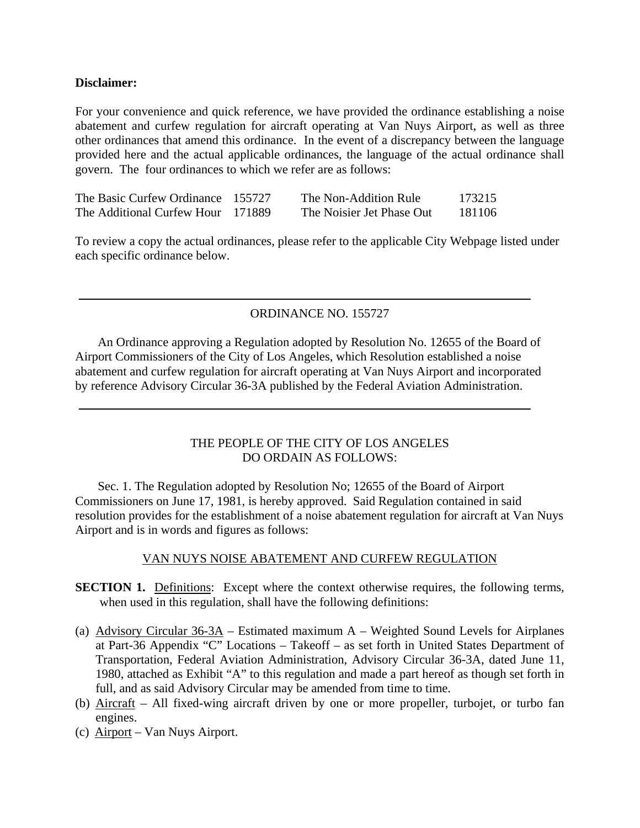### **Disclaimer:**

For your convenience and quick reference, we have provided the ordinance establishing a noise abatement and curfew regulation for aircraft operating at Van Nuys Airport, as well as three other ordinances that amend this ordinance. In the event of a discrepancy between the language provided here and the actual applicable ordinances, the language of the actual ordinance shall govern. The four ordinances to which we refer are as follows:

| The Basic Curfew Ordinance 155727 | The Non-Addition Rule     | 173215 |
|-----------------------------------|---------------------------|--------|
| The Additional Curfew Hour 171889 | The Noisier Jet Phase Out | 181106 |

To review a copy the actual ordinances, please refer to the applicable City Webpage listed under each specific ordinance below.

# ORDINANCE NO. 155727

An Ordinance approving a Regulation adopted by Resolution No. 12655 of the Board of Airport Commissioners of the City of Los Angeles, which Resolution established a noise abatement and curfew regulation for aircraft operating at Van Nuys Airport and incorporated by reference Advisory Circular 36-3A published by the Federal Aviation Administration.

#### THE PEOPLE OF THE CITY OF LOS ANGELES DO ORDAIN AS FOLLOWS:

Sec. 1. The Regulation adopted by Resolution No; 12655 of the Board of Airport Commissioners on June 17, 1981, is hereby approved. Said Regulation contained in said resolution provides for the establishment of a noise abatement regulation for aircraft at Van Nuys Airport and is in words and figures as follows:

### VAN NUYS NOISE ABATEMENT AND CURFEW REGULATION

- **SECTION 1.** Definitions: Except where the context otherwise requires, the following terms, when used in this regulation, shall have the following definitions:
- (a) Advisory Circular  $36-3A$  Estimated maximum A Weighted Sound Levels for Airplanes at Part-36 Appendix "C" Locations – Takeoff – as set forth in United States Department of Transportation, Federal Aviation Administration, Advisory Circular 36-3A, dated June 11, 1980, attached as Exhibit "A" to this regulation and made a part hereof as though set forth in full, and as said Advisory Circular may be amended from time to time.
- (b) Aircraft All fixed-wing aircraft driven by one or more propeller, turbojet, or turbo fan engines.
- (c) Airport Van Nuys Airport.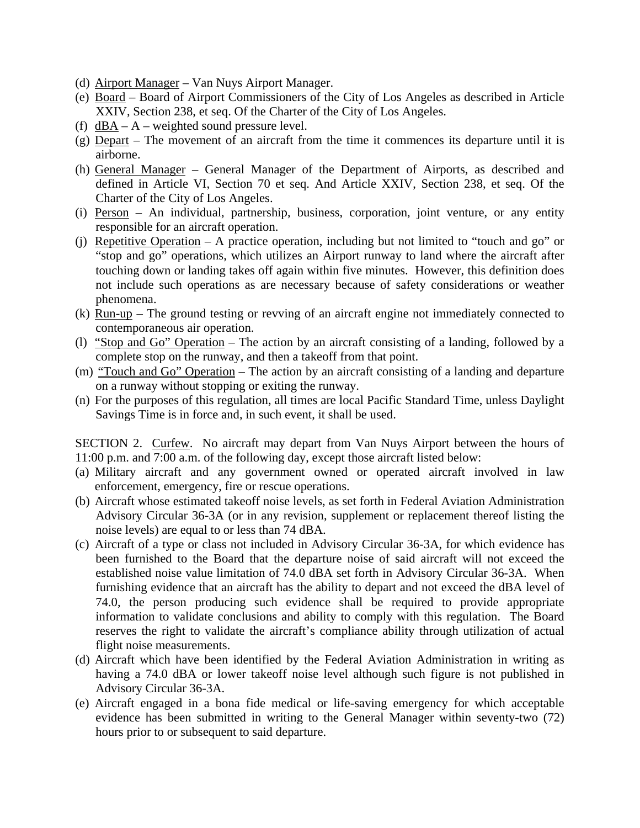- (d) Airport Manager Van Nuys Airport Manager.
- (e) Board Board of Airport Commissioners of the City of Los Angeles as described in Article XXIV, Section 238, et seq. Of the Charter of the City of Los Angeles.
- (f)  $dBA A$  weighted sound pressure level.
- (g) Depart The movement of an aircraft from the time it commences its departure until it is airborne.
- (h) General Manager General Manager of the Department of Airports, as described and defined in Article VI, Section 70 et seq. And Article XXIV, Section 238, et seq. Of the Charter of the City of Los Angeles.
- (i) Person An individual, partnership, business, corporation, joint venture, or any entity responsible for an aircraft operation.
- (j) Repetitive Operation A practice operation, including but not limited to "touch and go" or "stop and go" operations, which utilizes an Airport runway to land where the aircraft after touching down or landing takes off again within five minutes. However, this definition does not include such operations as are necessary because of safety considerations or weather phenomena.
- (k) Run-up The ground testing or revving of an aircraft engine not immediately connected to contemporaneous air operation.
- (l) "Stop and Go" Operation The action by an aircraft consisting of a landing, followed by a complete stop on the runway, and then a takeoff from that point.
- (m) "Touch and Go" Operation The action by an aircraft consisting of a landing and departure on a runway without stopping or exiting the runway.
- (n) For the purposes of this regulation, all times are local Pacific Standard Time, unless Daylight Savings Time is in force and, in such event, it shall be used.

SECTION 2. Curfew. No aircraft may depart from Van Nuys Airport between the hours of 11:00 p.m. and 7:00 a.m. of the following day, except those aircraft listed below:

- (a) Military aircraft and any government owned or operated aircraft involved in law enforcement, emergency, fire or rescue operations.
- (b) Aircraft whose estimated takeoff noise levels, as set forth in Federal Aviation Administration Advisory Circular 36-3A (or in any revision, supplement or replacement thereof listing the noise levels) are equal to or less than 74 dBA.
- (c) Aircraft of a type or class not included in Advisory Circular 36-3A, for which evidence has been furnished to the Board that the departure noise of said aircraft will not exceed the established noise value limitation of 74.0 dBA set forth in Advisory Circular 36-3A. When furnishing evidence that an aircraft has the ability to depart and not exceed the dBA level of 74.0, the person producing such evidence shall be required to provide appropriate information to validate conclusions and ability to comply with this regulation. The Board reserves the right to validate the aircraft's compliance ability through utilization of actual flight noise measurements.
- (d) Aircraft which have been identified by the Federal Aviation Administration in writing as having a 74.0 dBA or lower takeoff noise level although such figure is not published in Advisory Circular 36-3A.
- (e) Aircraft engaged in a bona fide medical or life-saving emergency for which acceptable evidence has been submitted in writing to the General Manager within seventy-two (72) hours prior to or subsequent to said departure.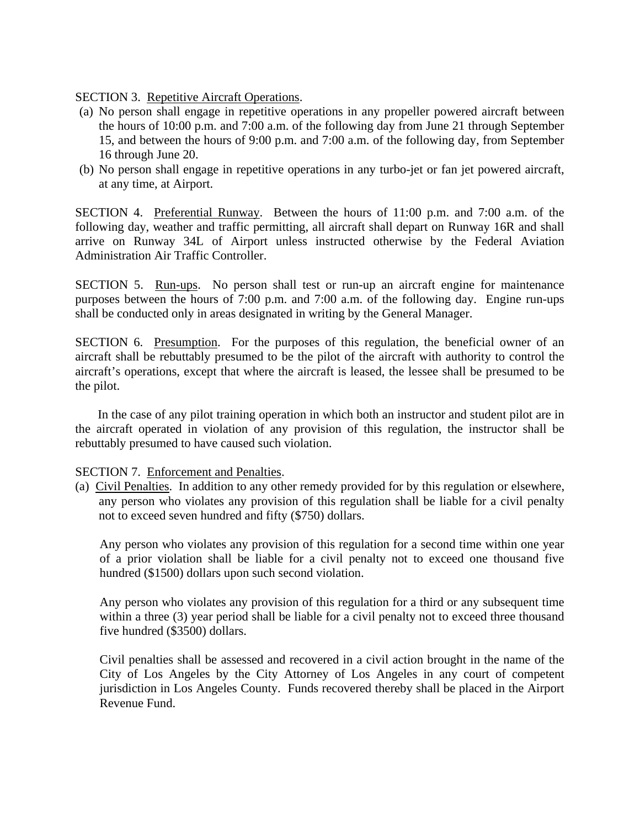SECTION 3. Repetitive Aircraft Operations.

- (a) No person shall engage in repetitive operations in any propeller powered aircraft between the hours of 10:00 p.m. and 7:00 a.m. of the following day from June 21 through September 15, and between the hours of 9:00 p.m. and 7:00 a.m. of the following day, from September 16 through June 20.
- (b) No person shall engage in repetitive operations in any turbo-jet or fan jet powered aircraft, at any time, at Airport.

SECTION 4. Preferential Runway. Between the hours of 11:00 p.m. and 7:00 a.m. of the following day, weather and traffic permitting, all aircraft shall depart on Runway 16R and shall arrive on Runway 34L of Airport unless instructed otherwise by the Federal Aviation Administration Air Traffic Controller.

SECTION 5. Run-ups. No person shall test or run-up an aircraft engine for maintenance purposes between the hours of 7:00 p.m. and 7:00 a.m. of the following day. Engine run-ups shall be conducted only in areas designated in writing by the General Manager.

SECTION 6. Presumption. For the purposes of this regulation, the beneficial owner of an aircraft shall be rebuttably presumed to be the pilot of the aircraft with authority to control the aircraft's operations, except that where the aircraft is leased, the lessee shall be presumed to be the pilot.

In the case of any pilot training operation in which both an instructor and student pilot are in the aircraft operated in violation of any provision of this regulation, the instructor shall be rebuttably presumed to have caused such violation.

### SECTION 7. Enforcement and Penalties.

(a) Civil Penalties. In addition to any other remedy provided for by this regulation or elsewhere, any person who violates any provision of this regulation shall be liable for a civil penalty not to exceed seven hundred and fifty (\$750) dollars.

Any person who violates any provision of this regulation for a second time within one year of a prior violation shall be liable for a civil penalty not to exceed one thousand five hundred (\$1500) dollars upon such second violation.

Any person who violates any provision of this regulation for a third or any subsequent time within a three (3) year period shall be liable for a civil penalty not to exceed three thousand five hundred (\$3500) dollars.

Civil penalties shall be assessed and recovered in a civil action brought in the name of the City of Los Angeles by the City Attorney of Los Angeles in any court of competent jurisdiction in Los Angeles County. Funds recovered thereby shall be placed in the Airport Revenue Fund.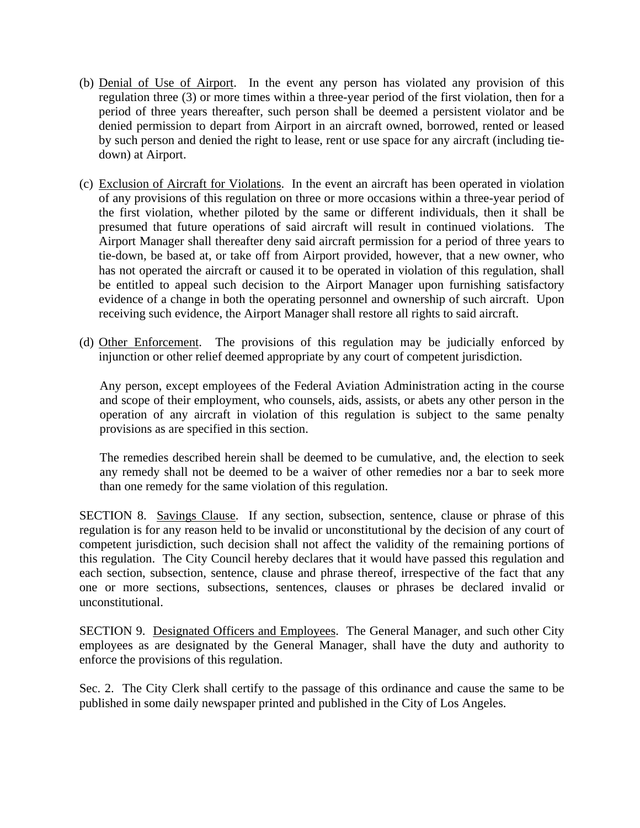- (b) Denial of Use of Airport. In the event any person has violated any provision of this regulation three (3) or more times within a three-year period of the first violation, then for a period of three years thereafter, such person shall be deemed a persistent violator and be denied permission to depart from Airport in an aircraft owned, borrowed, rented or leased by such person and denied the right to lease, rent or use space for any aircraft (including tiedown) at Airport.
- (c) Exclusion of Aircraft for Violations. In the event an aircraft has been operated in violation of any provisions of this regulation on three or more occasions within a three-year period of the first violation, whether piloted by the same or different individuals, then it shall be presumed that future operations of said aircraft will result in continued violations. The Airport Manager shall thereafter deny said aircraft permission for a period of three years to tie-down, be based at, or take off from Airport provided, however, that a new owner, who has not operated the aircraft or caused it to be operated in violation of this regulation, shall be entitled to appeal such decision to the Airport Manager upon furnishing satisfactory evidence of a change in both the operating personnel and ownership of such aircraft. Upon receiving such evidence, the Airport Manager shall restore all rights to said aircraft.
- (d) Other Enforcement. The provisions of this regulation may be judicially enforced by injunction or other relief deemed appropriate by any court of competent jurisdiction.

Any person, except employees of the Federal Aviation Administration acting in the course and scope of their employment, who counsels, aids, assists, or abets any other person in the operation of any aircraft in violation of this regulation is subject to the same penalty provisions as are specified in this section.

The remedies described herein shall be deemed to be cumulative, and, the election to seek any remedy shall not be deemed to be a waiver of other remedies nor a bar to seek more than one remedy for the same violation of this regulation.

SECTION 8. Savings Clause. If any section, subsection, sentence, clause or phrase of this regulation is for any reason held to be invalid or unconstitutional by the decision of any court of competent jurisdiction, such decision shall not affect the validity of the remaining portions of this regulation. The City Council hereby declares that it would have passed this regulation and each section, subsection, sentence, clause and phrase thereof, irrespective of the fact that any one or more sections, subsections, sentences, clauses or phrases be declared invalid or unconstitutional.

SECTION 9. Designated Officers and Employees. The General Manager, and such other City employees as are designated by the General Manager, shall have the duty and authority to enforce the provisions of this regulation.

Sec. 2. The City Clerk shall certify to the passage of this ordinance and cause the same to be published in some daily newspaper printed and published in the City of Los Angeles.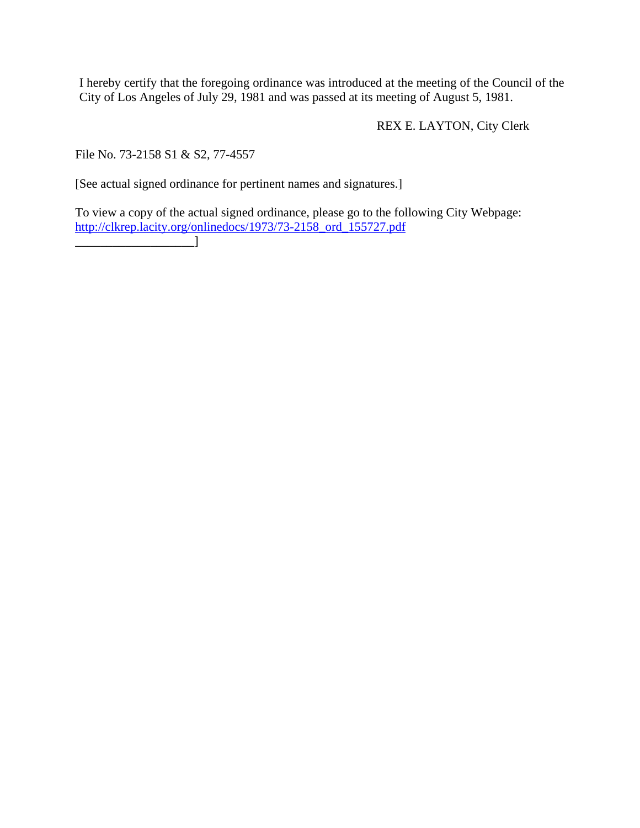I hereby certify that the foregoing ordinance was introduced at the meeting of the Council of the City of Los Angeles of July 29, 1981 and was passed at its meeting of August 5, 1981.

REX E. LAYTON, City Clerk

File No. 73-2158 S1 & S2, 77-4557

[See actual signed ordinance for pertinent names and signatures.]

To view a copy of the actual signed ordinance, please go to the following City Webpage: [http://clkrep.lacity.org/onlinedocs/1973/73-2158\\_ord\\_155727.pdf](http://clkrep.lacity.org/onlinedocs/1973/73-2158_ord_155727.pdf)  $\Box$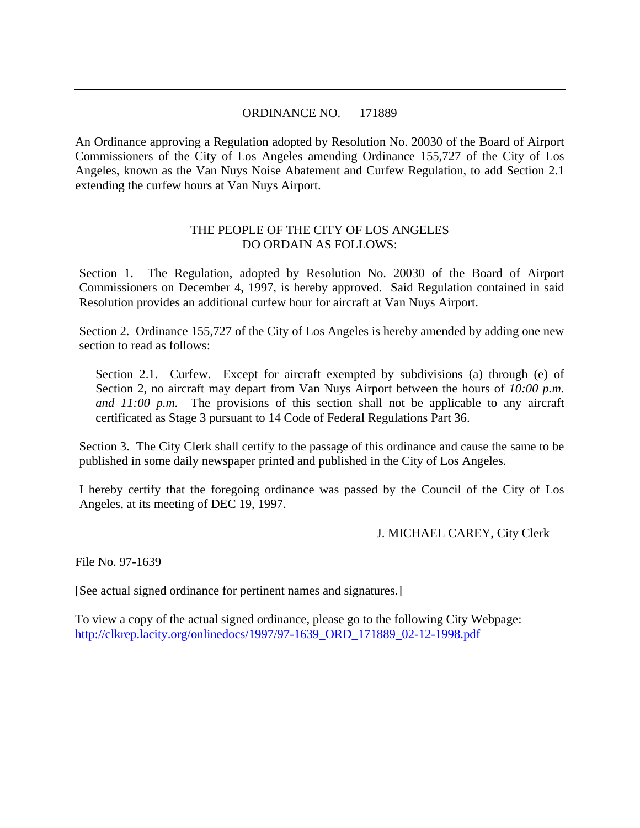## ORDINANCE NO. 171889

An Ordinance approving a Regulation adopted by Resolution No. 20030 of the Board of Airport Commissioners of the City of Los Angeles amending Ordinance 155,727 of the City of Los Angeles, known as the Van Nuys Noise Abatement and Curfew Regulation, to add Section 2.1 extending the curfew hours at Van Nuys Airport.

## THE PEOPLE OF THE CITY OF LOS ANGELES DO ORDAIN AS FOLLOWS:

Section 1. The Regulation, adopted by Resolution No. 20030 of the Board of Airport Commissioners on December 4, 1997, is hereby approved. Said Regulation contained in said Resolution provides an additional curfew hour for aircraft at Van Nuys Airport.

Section 2. Ordinance 155,727 of the City of Los Angeles is hereby amended by adding one new section to read as follows:

Section 2.1. Curfew. Except for aircraft exempted by subdivisions (a) through (e) of Section 2, no aircraft may depart from Van Nuys Airport between the hours of *10:00 p.m. and 11:00 p.m.* The provisions of this section shall not be applicable to any aircraft certificated as Stage 3 pursuant to 14 Code of Federal Regulations Part 36.

Section 3. The City Clerk shall certify to the passage of this ordinance and cause the same to be published in some daily newspaper printed and published in the City of Los Angeles.

I hereby certify that the foregoing ordinance was passed by the Council of the City of Los Angeles, at its meeting of DEC 19, 1997.

J. MICHAEL CAREY, City Clerk

File No. 97-1639

[See actual signed ordinance for pertinent names and signatures.]

To view a copy of the actual signed ordinance, please go to the following City Webpage: [http://clkrep.lacity.org/onlinedocs/1997/97-1639\\_ORD\\_171889\\_02-12-1998.pdf](http://clkrep.lacity.org/onlinedocs/1997/97-1639_ORD_171889_02-12-1998.pdf)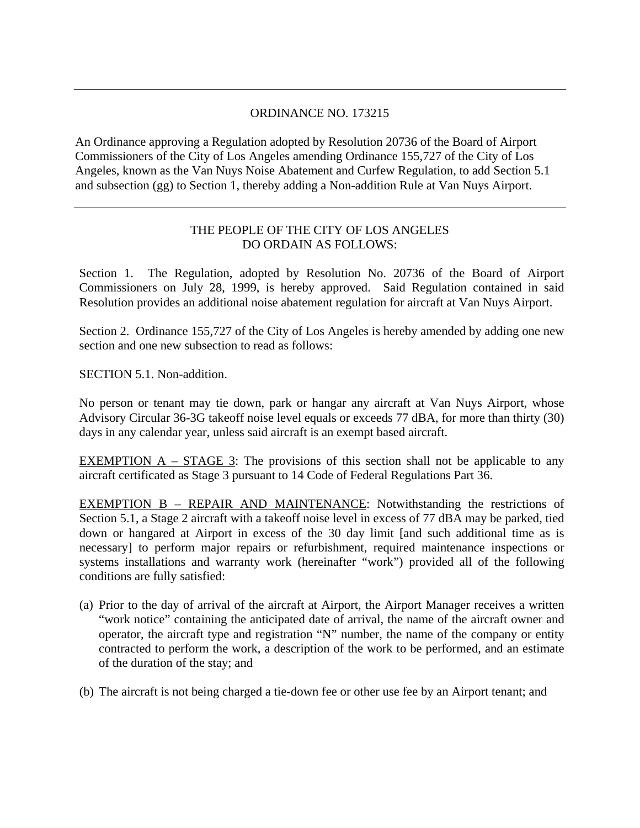# ORDINANCE NO. 173215

An Ordinance approving a Regulation adopted by Resolution 20736 of the Board of Airport Commissioners of the City of Los Angeles amending Ordinance 155,727 of the City of Los Angeles, known as the Van Nuys Noise Abatement and Curfew Regulation, to add Section 5.1 and subsection (gg) to Section 1, thereby adding a Non-addition Rule at Van Nuys Airport.

## THE PEOPLE OF THE CITY OF LOS ANGELES DO ORDAIN AS FOLLOWS:

Section 1. The Regulation, adopted by Resolution No. 20736 of the Board of Airport Commissioners on July 28, 1999, is hereby approved. Said Regulation contained in said Resolution provides an additional noise abatement regulation for aircraft at Van Nuys Airport.

Section 2. Ordinance 155,727 of the City of Los Angeles is hereby amended by adding one new section and one new subsection to read as follows:

SECTION 5.1. Non-addition.

No person or tenant may tie down, park or hangar any aircraft at Van Nuys Airport, whose Advisory Circular 36-3G takeoff noise level equals or exceeds 77 dBA, for more than thirty (30) days in any calendar year, unless said aircraft is an exempt based aircraft.

EXEMPTION  $A - STAGE$  3: The provisions of this section shall not be applicable to any aircraft certificated as Stage 3 pursuant to 14 Code of Federal Regulations Part 36.

EXEMPTION B – REPAIR AND MAINTENANCE: Notwithstanding the restrictions of Section 5.1, a Stage 2 aircraft with a takeoff noise level in excess of 77 dBA may be parked, tied down or hangared at Airport in excess of the 30 day limit [and such additional time as is necessary] to perform major repairs or refurbishment, required maintenance inspections or systems installations and warranty work (hereinafter "work") provided all of the following conditions are fully satisfied:

- (a) Prior to the day of arrival of the aircraft at Airport, the Airport Manager receives a written "work notice" containing the anticipated date of arrival, the name of the aircraft owner and operator, the aircraft type and registration "N" number, the name of the company or entity contracted to perform the work, a description of the work to be performed, and an estimate of the duration of the stay; and
- (b) The aircraft is not being charged a tie-down fee or other use fee by an Airport tenant; and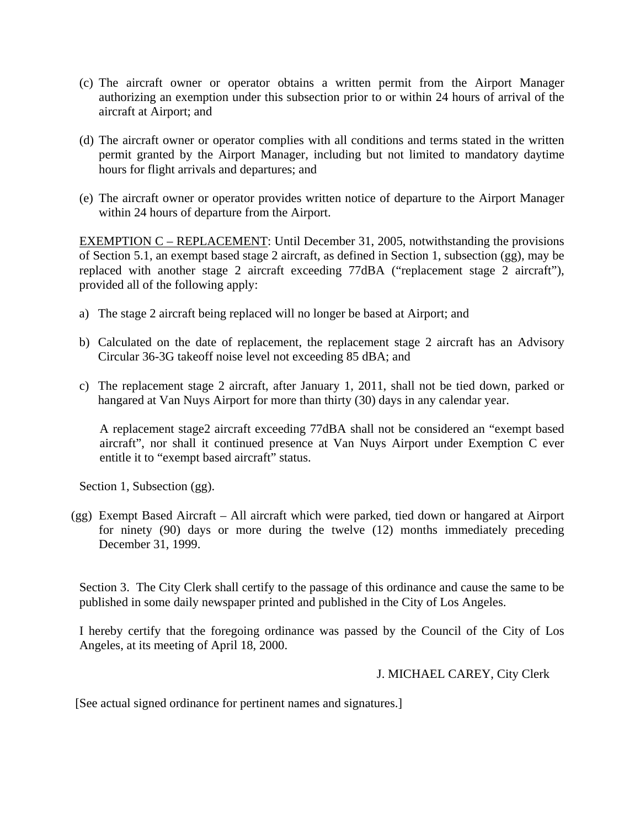- (c) The aircraft owner or operator obtains a written permit from the Airport Manager authorizing an exemption under this subsection prior to or within 24 hours of arrival of the aircraft at Airport; and
- (d) The aircraft owner or operator complies with all conditions and terms stated in the written permit granted by the Airport Manager, including but not limited to mandatory daytime hours for flight arrivals and departures; and
- (e) The aircraft owner or operator provides written notice of departure to the Airport Manager within 24 hours of departure from the Airport.

EXEMPTION C – REPLACEMENT: Until December 31, 2005, notwithstanding the provisions of Section 5.1, an exempt based stage 2 aircraft, as defined in Section 1, subsection (gg), may be replaced with another stage 2 aircraft exceeding 77dBA ("replacement stage 2 aircraft"), provided all of the following apply:

- a) The stage 2 aircraft being replaced will no longer be based at Airport; and
- b) Calculated on the date of replacement, the replacement stage 2 aircraft has an Advisory Circular 36-3G takeoff noise level not exceeding 85 dBA; and
- c) The replacement stage 2 aircraft, after January 1, 2011, shall not be tied down, parked or hangared at Van Nuys Airport for more than thirty (30) days in any calendar year.

A replacement stage2 aircraft exceeding 77dBA shall not be considered an "exempt based aircraft", nor shall it continued presence at Van Nuys Airport under Exemption C ever entitle it to "exempt based aircraft" status.

Section 1, Subsection (gg).

(gg) Exempt Based Aircraft – All aircraft which were parked, tied down or hangared at Airport for ninety (90) days or more during the twelve (12) months immediately preceding December 31, 1999.

Section 3. The City Clerk shall certify to the passage of this ordinance and cause the same to be published in some daily newspaper printed and published in the City of Los Angeles.

I hereby certify that the foregoing ordinance was passed by the Council of the City of Los Angeles, at its meeting of April 18, 2000.

### J. MICHAEL CAREY, City Clerk

[See actual signed ordinance for pertinent names and signatures.]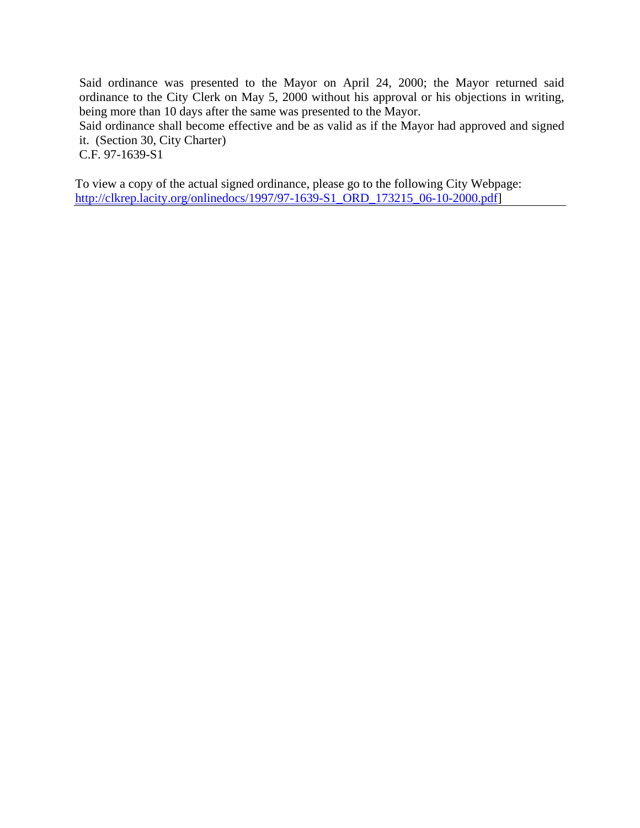Said ordinance was presented to the Mayor on April 24, 2000; the Mayor returned said ordinance to the City Clerk on May 5, 2000 without his approval or his objections in writing, being more than 10 days after the same was presented to the Mayor.

Said ordinance shall become effective and be as valid as if the Mayor had approved and signed it. (Section 30, City Charter)

C.F. 97-1639-S1

To view a copy of the actual signed ordinance, please go to the following City Webpage: [http://clkrep.lacity.org/onlinedocs/1997/97-1639-S1\\_ORD\\_173215\\_06-10-2000.pdf](http://clkrep.lacity.org/onlinedocs/1997/97-1639-S1_ORD_173215_06-10-2000.pdf)]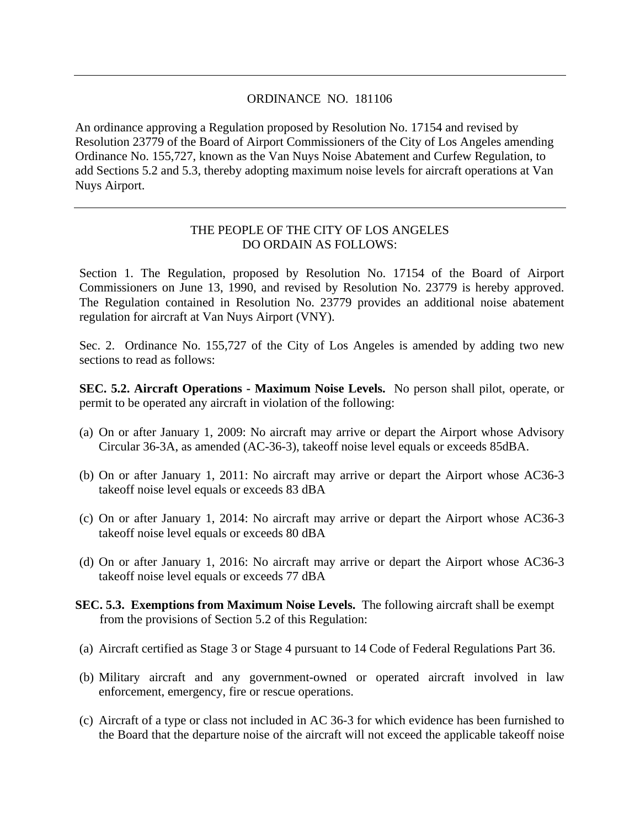#### ORDINANCE NO. 181106

An ordinance approving a Regulation proposed by Resolution No. 17154 and revised by Resolution 23779 of the Board of Airport Commissioners of the City of Los Angeles amending Ordinance No. 155,727, known as the Van Nuys Noise Abatement and Curfew Regulation, to add Sections 5.2 and 5.3, thereby adopting maximum noise levels for aircraft operations at Van Nuys Airport.

## THE PEOPLE OF THE CITY OF LOS ANGELES DO ORDAIN AS FOLLOWS:

Section 1. The Regulation, proposed by Resolution No. 17154 of the Board of Airport Commissioners on June 13, 1990, and revised by Resolution No. 23779 is hereby approved. The Regulation contained in Resolution No. 23779 provides an additional noise abatement regulation for aircraft at Van Nuys Airport (VNY).

Sec. 2. Ordinance No. 155,727 of the City of Los Angeles is amended by adding two new sections to read as follows:

**SEC. 5.2. Aircraft Operations - Maximum Noise Levels.** No person shall pilot, operate, or permit to be operated any aircraft in violation of the following:

- (a) On or after January 1, 2009: No aircraft may arrive or depart the Airport whose Advisory Circular 36-3A, as amended (AC-36-3), takeoff noise level equals or exceeds 85dBA.
- (b) On or after January 1, 2011: No aircraft may arrive or depart the Airport whose AC36-3 takeoff noise level equals or exceeds 83 dBA
- (c) On or after January 1, 2014: No aircraft may arrive or depart the Airport whose AC36-3 takeoff noise level equals or exceeds 80 dBA
- (d) On or after January 1, 2016: No aircraft may arrive or depart the Airport whose AC36-3 takeoff noise level equals or exceeds 77 dBA
- **SEC. 5.3. Exemptions from Maximum Noise Levels.** The following aircraft shall be exempt from the provisions of Section 5.2 of this Regulation:
- (a) Aircraft certified as Stage 3 or Stage 4 pursuant to 14 Code of Federal Regulations Part 36.
- (b) Military aircraft and any government-owned or operated aircraft involved in law enforcement, emergency, fire or rescue operations.
- (c) Aircraft of a type or class not included in AC 36-3 for which evidence has been furnished to the Board that the departure noise of the aircraft will not exceed the applicable takeoff noise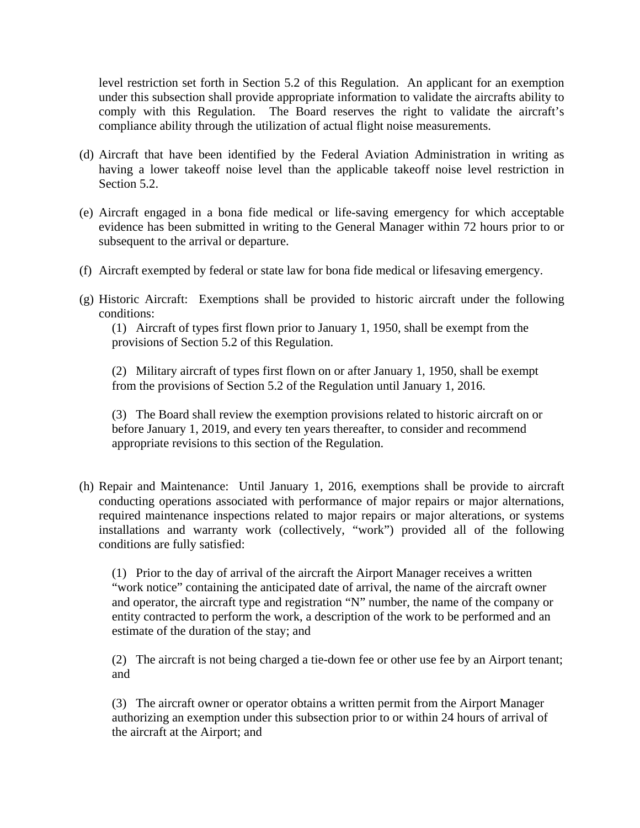level restriction set forth in Section 5.2 of this Regulation. An applicant for an exemption under this subsection shall provide appropriate information to validate the aircrafts ability to comply with this Regulation. The Board reserves the right to validate the aircraft's compliance ability through the utilization of actual flight noise measurements.

- (d) Aircraft that have been identified by the Federal Aviation Administration in writing as having a lower takeoff noise level than the applicable takeoff noise level restriction in Section 5.2.
- (e) Aircraft engaged in a bona fide medical or life-saving emergency for which acceptable evidence has been submitted in writing to the General Manager within 72 hours prior to or subsequent to the arrival or departure.
- (f) Aircraft exempted by federal or state law for bona fide medical or lifesaving emergency.
- (g) Historic Aircraft: Exemptions shall be provided to historic aircraft under the following conditions:

(1) Aircraft of types first flown prior to January 1, 1950, shall be exempt from the provisions of Section 5.2 of this Regulation.

(2) Military aircraft of types first flown on or after January 1, 1950, shall be exempt from the provisions of Section 5.2 of the Regulation until January 1, 2016.

(3) The Board shall review the exemption provisions related to historic aircraft on or before January 1, 2019, and every ten years thereafter, to consider and recommend appropriate revisions to this section of the Regulation.

(h) Repair and Maintenance: Until January 1, 2016, exemptions shall be provide to aircraft conducting operations associated with performance of major repairs or major alternations, required maintenance inspections related to major repairs or major alterations, or systems installations and warranty work (collectively, "work") provided all of the following conditions are fully satisfied:

(1) Prior to the day of arrival of the aircraft the Airport Manager receives a written "work notice" containing the anticipated date of arrival, the name of the aircraft owner and operator, the aircraft type and registration "N" number, the name of the company or entity contracted to perform the work, a description of the work to be performed and an estimate of the duration of the stay; and

(2) The aircraft is not being charged a tie-down fee or other use fee by an Airport tenant; and

(3) The aircraft owner or operator obtains a written permit from the Airport Manager authorizing an exemption under this subsection prior to or within 24 hours of arrival of the aircraft at the Airport; and